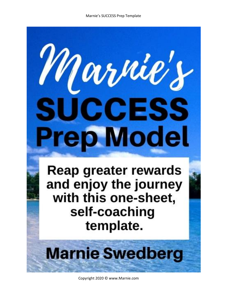# Marnie's SUCCESS **Prep Model**

Reap greater rewards and enjoy the journey with this one-sheet, self-coaching template.

## **Marnie Swedberg**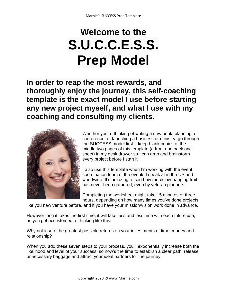### **Welcome to the S.U.C.C.E.S.S. Prep Model**

**In order to reap the most rewards, and thoroughly enjoy the journey, this self-coaching template is the exact model I use before starting any new project myself, and what I use with my coaching and consulting my clients.** 



Whether you're thinking of writing a new book, planning a conference, or launching a business or ministry, go through the SUCCESS model first. I keep blank copies of the middle two pages of this template (a front and back onesheet) in my desk drawer so I can grab and brainstorm every project before I start it.

I also use this template when I'm working with the event coordination team of the events I speak at in the US and worldwide. It's amazing to see how much low-hanging fruit has never been gathered, even by veteran planners.

Completing the worksheet might take 15 minutes or three hours, depending on how many times you've done projects

like you new venture before, and if you have your mission/vision work done in advance.

However long it takes the first time, it will take less and less time with each future use, as you get accustomed to thinking like this.

Why not insure the greatest possible returns on your investments of time, money and relationship?

When you add these seven steps to your process, you'll exponentially increase both the likelihood and level of your success, so now's the time to establish a clear path, release unnecessary baggage and attract your ideal partners for the journey.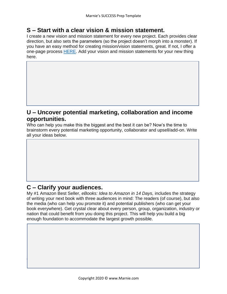#### **S – Start with a clear vision & mission statement.**

I create a new vision and mission statement for every new project. Each provides clear direction, but also sets the parameters (so the project doesn't morph into a monster). If you have an easy method for creating mission/vision statements, great. If not, I offer a one-page process [HERE.](https://www.marnie.com/store/p39/Vision_%2F_Mission_Boot_Camp_.html) Add your vision and mission statements for your new thing here.

#### **U – Uncover potential marketing, collaboration and income opportunities.**

Who can help you make this the biggest and the best it can be? Now's the time to brainstorm every potential marketing opportunity, collaborator and upsell/add-on. Write all your ideas below.

#### **C – Clarify your audiences.**

**C – Chart a reasonable path.** 

My #1 Amazon Best Seller, *eBooks: Idea to Amazon in 14 Days,* includes the strategy of writing your next book with three audiences in mind: The readers (of course), but also the media (who can help you promote it) and potential publishers (who can get your book everywhere). Get crystal clear about every person, group, organization, industry or nation that could benefit from you doing this project. This will help you build a big enough foundation to accommodate the largest growth possible.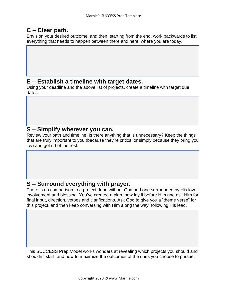#### **C – Clear path.**

Envision your desired outcome, and then, starting from the end, work backwards to list everything that needs to happen between there and here, where you are today.

#### **E – Establish a timeline with target dates.**

Using your deadline and the above list of projects, create a timeline with target due dates.

#### **S – Simplify wherever you can.**

Review your path and timeline. Is there anything that is unnecessary? Keep the things that are truly important to you (because they're critical or simply because they bring you joy) and get rid of the rest.

#### **S – Surround everything with prayer.**

There is no comparison to a project done without God and one surrounded by His love, involvement and blessing. You've created a plan, now lay it before Him and ask Him for final input, direction, vetoes and clarifications. Ask God to give you a "theme verse" for this project, and then keep conversing with Him along the way, following His lead.

This SUCCESS Prep Model works wonders at revealing which projects you should and shouldn't start, and how to maximize the outcomes of the ones you choose to pursue.